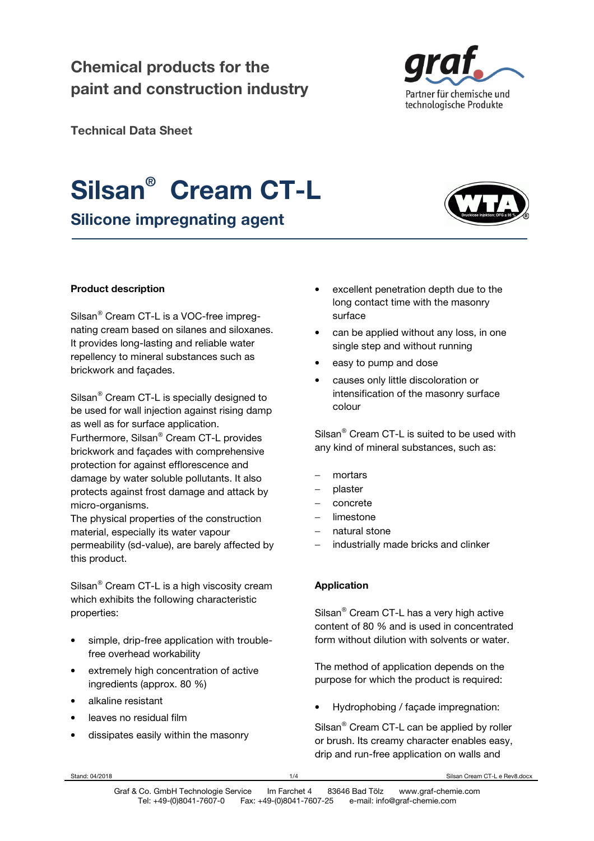### **Chemical products for the paint and construction industry**



**Technical Data Sheet** 

## **Silsan® Cream CT-L**

**Silicone impregnating agent** 



#### **Product description**

Silsan<sup>®</sup> Cream CT-L is a VOC-free impregnating cream based on silanes and siloxanes. It provides long-lasting and reliable water repellency to mineral substances such as brickwork and façades.

Silsan<sup>®</sup> Cream CT-L is specially designed to be used for wall injection against rising damp as well as for surface application.

Furthermore, Silsan® Cream CT-L provides brickwork and façades with comprehensive protection for against efflorescence and damage by water soluble pollutants. It also protects against frost damage and attack by micro-organisms.

The physical properties of the construction material, especially its water vapour permeability (sd-value), are barely affected by this product.

Silsan<sup>®</sup> Cream CT-L is a high viscosity cream which exhibits the following characteristic properties:

- simple, drip-free application with troublefree overhead workability
- extremely high concentration of active ingredients (approx. 80 %)
- alkaline resistant
- leaves no residual film
- dissipates easily within the masonry
- excellent penetration depth due to the long contact time with the masonry surface
- can be applied without any loss, in one single step and without running
- easy to pump and dose
- causes only little discoloration or intensification of the masonry surface colour

Silsan® Cream CT-L is suited to be used with any kind of mineral substances, such as:

- − mortars
- − plaster
- − concrete
- − limestone
- natural stone
- industrially made bricks and clinker

#### **Application**

Silsan® Cream CT-L has a very high active content of 80 % and is used in concentrated form without dilution with solvents or water.

The method of application depends on the purpose for which the product is required:

• Hydrophobing / façade impregnation:

Silsan® Cream CT-L can be applied by roller or brush. Its creamy character enables easy, drip and run-free application on walls and

Stand: 04/2018 **1/4** Stisan Cream CT-L e Rev8.docx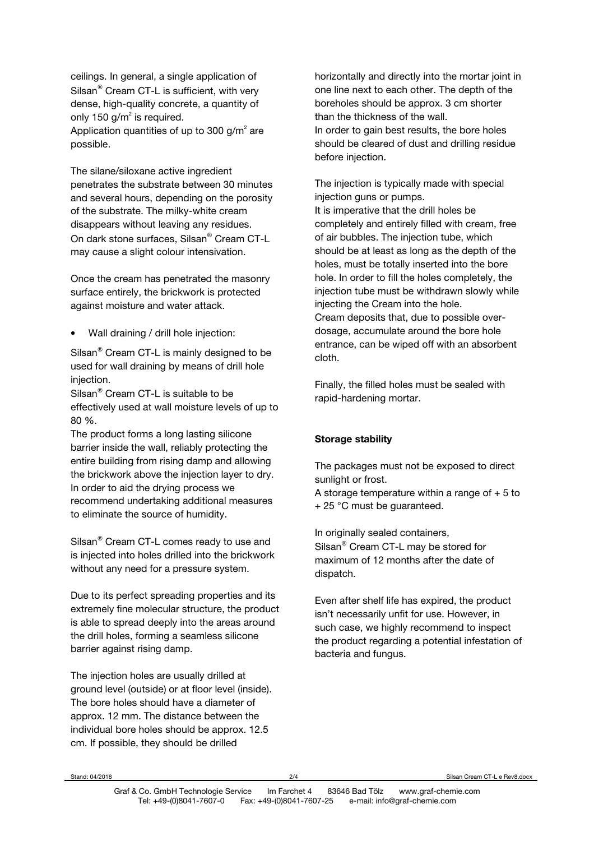ceilings. In general, a single application of Silsan<sup>®</sup> Cream CT-L is sufficient, with very dense, high-quality concrete, a quantity of only 150 g/m<sup>2</sup> is required. Application quantities of up to 300 g/m<sup>2</sup> are possible.

The silane/siloxane active ingredient penetrates the substrate between 30 minutes and several hours, depending on the porosity of the substrate. The milky-white cream disappears without leaving any residues. On dark stone surfaces, Silsan® Cream CT-L may cause a slight colour intensivation.

Once the cream has penetrated the masonry surface entirely, the brickwork is protected against moisture and water attack.

• Wall draining / drill hole injection:

Silsan<sup>®</sup> Cream CT-L is mainly designed to be used for wall draining by means of drill hole injection.

Silsan<sup>®</sup> Cream CT-L is suitable to be effectively used at wall moisture levels of up to 80 %.

The product forms a long lasting silicone barrier inside the wall, reliably protecting the entire building from rising damp and allowing the brickwork above the injection layer to dry. In order to aid the drying process we recommend undertaking additional measures to eliminate the source of humidity.

Silsan<sup>®</sup> Cream CT-L comes ready to use and is injected into holes drilled into the brickwork without any need for a pressure system.

Due to its perfect spreading properties and its extremely fine molecular structure, the product is able to spread deeply into the areas around the drill holes, forming a seamless silicone barrier against rising damp.

The injection holes are usually drilled at ground level (outside) or at floor level (inside). The bore holes should have a diameter of approx. 12 mm. The distance between the individual bore holes should be approx. 12.5 cm. If possible, they should be drilled

horizontally and directly into the mortar joint in one line next to each other. The depth of the boreholes should be approx. 3 cm shorter than the thickness of the wall. In order to gain best results, the bore holes should be cleared of dust and drilling residue before injection.

The injection is typically made with special injection guns or pumps. It is imperative that the drill holes be completely and entirely filled with cream, free of air bubbles. The injection tube, which should be at least as long as the depth of the holes, must be totally inserted into the bore hole. In order to fill the holes completely, the injection tube must be withdrawn slowly while injecting the Cream into the hole. Cream deposits that, due to possible overdosage, accumulate around the bore hole entrance, can be wiped off with an absorbent cloth.

Finally, the filled holes must be sealed with rapid-hardening mortar.

#### **Storage stability**

The packages must not be exposed to direct sunlight or frost.

A storage temperature within a range of  $+5$  to + 25 °C must be guaranteed.

In originally sealed containers, Silsan® Cream CT-L may be stored for maximum of 12 months after the date of dispatch.

Even after shelf life has expired, the product isn't necessarily unfit for use. However, in such case, we highly recommend to inspect the product regarding a potential infestation of bacteria and fungus.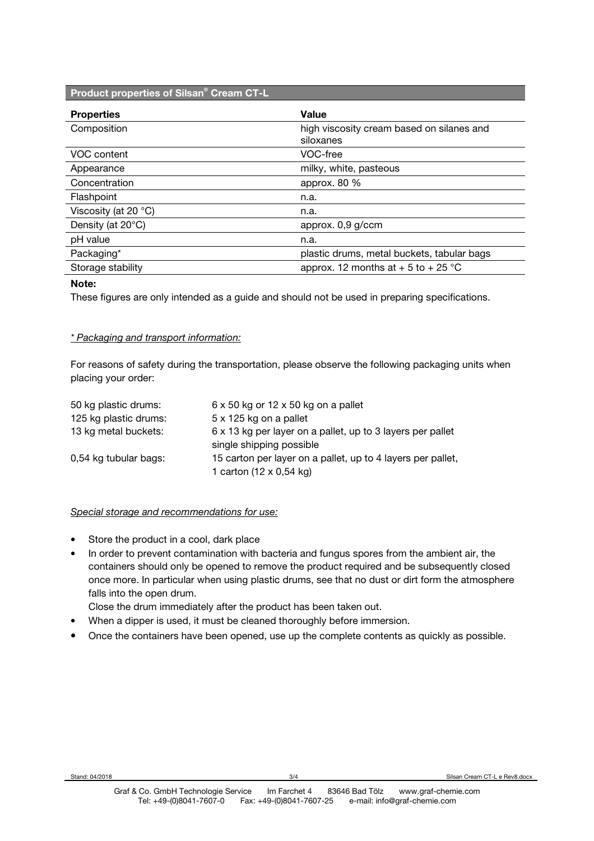#### **Product properties of Silsan® Cream CT-L**

| <b>Properties</b>       | Value                                      |
|-------------------------|--------------------------------------------|
| Composition             | high viscosity cream based on silanes and  |
|                         | siloxanes                                  |
| VOC content             | VOC-free                                   |
| Appearance              | milky, white, pasteous                     |
| Concentration           | approx. 80 %                               |
| Flashpoint              | n.a.                                       |
| Viscosity (at 20 $°C$ ) | n.a.                                       |
| Density (at 20°C)       | approx. 0,9 g/ccm                          |
| pH value                | n.a.                                       |
| Packaging*              | plastic drums, metal buckets, tabular bags |
| Storage stability       | approx. 12 months at $+5$ to $+25$ °C      |

#### **Note:**

These figures are only intended as a guide and should not be used in preparing specifications.

#### *\* Packaging and transport information:*

For reasons of safety during the transportation, please observe the following packaging units when placing your order:

| 50 kg plastic drums:  | $6 \times 50$ kg or 12 $\times$ 50 kg on a pallet                                      |
|-----------------------|----------------------------------------------------------------------------------------|
| 125 kg plastic drums: | 5 x 125 kg on a pallet                                                                 |
| 13 kg metal buckets:  | 6 x 13 kg per layer on a pallet, up to 3 layers per pallet<br>single shipping possible |
| 0,54 kg tubular bags: | 15 carton per layer on a pallet, up to 4 layers per pallet,                            |
|                       | 1 carton (12 x 0,54 kg)                                                                |

#### *Special storage and recommendations for use:*

- Store the product in a cool, dark place
- In order to prevent contamination with bacteria and fungus spores from the ambient air, the containers should only be opened to remove the product required and be subsequently closed once more. In particular when using plastic drums, see that no dust or dirt form the atmosphere falls into the open drum.

Close the drum immediately after the product has been taken out.

- When a dipper is used, it must be cleaned thoroughly before immersion.
- Once the containers have been opened, use up the complete contents as quickly as possible.